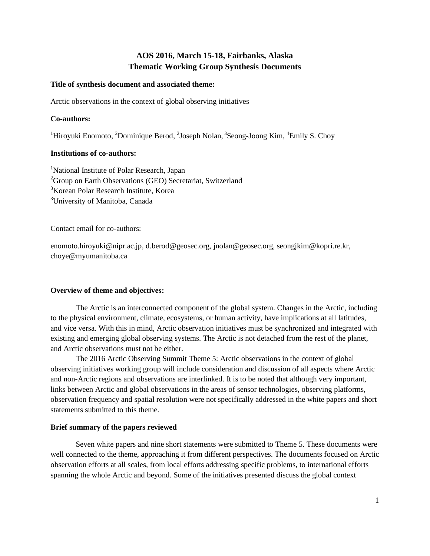# **AOS 2016, March 15-18, Fairbanks, Alaska Thematic Working Group Synthesis Documents**

## **Title of synthesis document and associated theme:**

Arctic observations in the context of global observing initiatives

## **Co-authors:**

<sup>1</sup>Hiroyuki Enomoto, <sup>2</sup>Dominique Berod, <sup>2</sup>Joseph Nolan, <sup>3</sup>Seong-Joong Kim, <sup>4</sup>Emily S. Choy

## **Institutions of co-authors:**

<sup>1</sup>National Institute of Polar Research, Japan <sup>2</sup> Group on Earth Observations (GEO) Secretariat, Switzerland 3 Korean Polar Research Institute, Korea <sup>3</sup>University of Manitoba, Canada

Contact email for co-authors:

[enomoto.hiroyuki@nipr.ac.jp,](mailto:enomoto.hiroyuki@nipr.ac.jp) [d.berod@geosec.org,](mailto:d.berod@geosec.org) jnolan@geosec.org, [seongjkim@kopri.re.kr,](mailto:seongjkim@kopri.re.kr) [choye@myumanitoba.ca](mailto:choye@myumanitoba.ca)

#### **Overview of theme and objectives:**

The Arctic is an interconnected component of the global system. Changes in the Arctic, including to the physical environment, climate, ecosystems, or human activity, have implications at all latitudes, and vice versa. With this in mind, Arctic observation initiatives must be synchronized and integrated with existing and emerging global observing systems. The Arctic is not detached from the rest of the planet, and Arctic observations must not be either.

The 2016 Arctic Observing Summit Theme 5: Arctic observations in the context of global observing initiatives working group will include consideration and discussion of all aspects where Arctic and non-Arctic regions and observations are interlinked. It is to be noted that although very important, links between Arctic and global observations in the areas of sensor technologies, observing platforms, observation frequency and spatial resolution were not specifically addressed in the white papers and short statements submitted to this theme.

## **Brief summary of the papers reviewed**

Seven white papers and nine short statements were submitted to Theme 5. These documents were well connected to the theme, approaching it from different perspectives. The documents focused on Arctic observation efforts at all scales, from local efforts addressing specific problems, to international efforts spanning the whole Arctic and beyond. Some of the initiatives presented discuss the global context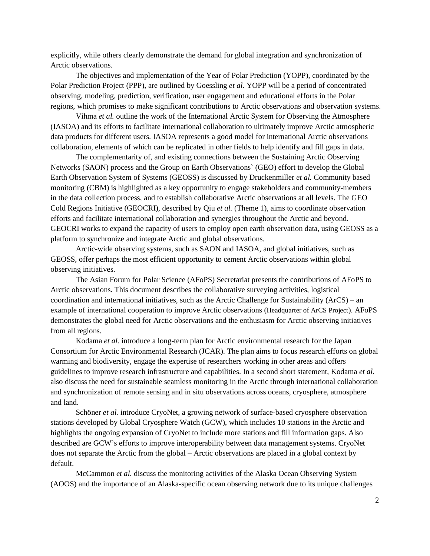explicitly, while others clearly demonstrate the demand for global integration and synchronization of Arctic observations.

The objectives and implementation of the Year of Polar Prediction (YOPP), coordinated by the Polar Prediction Project (PPP), are outlined by Goessling *et al.* YOPP will be a period of concentrated observing, modeling, prediction, verification, user engagement and educational efforts in the Polar regions, which promises to make significant contributions to Arctic observations and observation systems.

Vihma *et al.* outline the work of the International Arctic System for Observing the Atmosphere (IASOA) and its efforts to facilitate international collaboration to ultimately improve Arctic atmospheric data products for different users. IASOA represents a good model for international Arctic observations collaboration, elements of which can be replicated in other fields to help identify and fill gaps in data.

The complementarity of, and existing connections between the Sustaining Arctic Observing Networks (SAON) process and the Group on Earth Observations` (GEO) effort to develop the Global Earth Observation System of Systems (GEOSS) is discussed by Druckenmiller *et al.* Community based monitoring (CBM) is highlighted as a key opportunity to engage stakeholders and community-members in the data collection process, and to establish collaborative Arctic observations at all levels. The GEO Cold Regions Initiative (GEOCRI), described by Qiu *et al.* (Theme 1), aims to coordinate observation efforts and facilitate international collaboration and synergies throughout the Arctic and beyond. GEOCRI works to expand the capacity of users to employ open earth observation data, using GEOSS as a platform to synchronize and integrate Arctic and global observations.

Arctic-wide observing systems, such as SAON and IASOA, and global initiatives, such as GEOSS, offer perhaps the most efficient opportunity to cement Arctic observations within global observing initiatives.

The Asian Forum for Polar Science (AFoPS) Secretariat presents the contributions of AFoPS to Arctic observations. This document describes the collaborative surveying activities, logistical coordination and international initiatives, such as the Arctic Challenge for Sustainability (ArCS) – an example of international cooperation to improve Arctic observations (Headquarter of ArCS Project). AFoPS demonstrates the global need for Arctic observations and the enthusiasm for Arctic observing initiatives from all regions.

Kodama *et al.* introduce a long-term plan for Arctic environmental research for the Japan Consortium for Arctic Environmental Research (JCAR). The plan aims to focus research efforts on global warming and biodiversity, engage the expertise of researchers working in other areas and offers guidelines to improve research infrastructure and capabilities. In a second short statement, Kodama *et al.* also discuss the need for sustainable seamless monitoring in the Arctic through international collaboration and synchronization of remote sensing and in situ observations across oceans, cryosphere, atmosphere and land.

Schöner *et al.* introduce CryoNet, a growing network of surface-based cryosphere observation stations developed by Global Cryosphere Watch (GCW), which includes 10 stations in the Arctic and highlights the ongoing expansion of CryoNet to include more stations and fill information gaps. Also described are GCW's efforts to improve interoperability between data management systems. CryoNet does not separate the Arctic from the global – Arctic observations are placed in a global context by default.

McCammon *et al.* discuss the monitoring activities of the Alaska Ocean Observing System (AOOS) and the importance of an Alaska-specific ocean observing network due to its unique challenges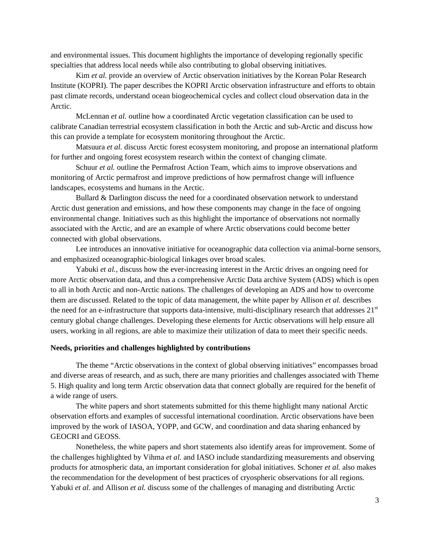and environmental issues. This document highlights the importance of developing regionally specific specialties that address local needs while also contributing to global observing initiatives.

Kim *et al.* provide an overview of Arctic observation initiatives by the Korean Polar Research Institute (KOPRI). The paper describes the KOPRI Arctic observation infrastructure and efforts to obtain past climate records, understand ocean biogeochemical cycles and collect cloud observation data in the Arctic.

McLennan *et al.* outline how a coordinated Arctic vegetation classification can be used to calibrate Canadian terrestrial ecosystem classification in both the Arctic and sub-Arctic and discuss how this can provide a template for ecosystem monitoring throughout the Arctic.

Matsuura *et al.* discuss Arctic forest ecosystem monitoring, and propose an international platform for further and ongoing forest ecosystem research within the context of changing climate.

Schuur *et al.* outline the Permafrost Action Team, which aims to improve observations and monitoring of Arctic permafrost and improve predictions of how permafrost change will influence landscapes, ecosystems and humans in the Arctic.

Bullard & Darlington discuss the need for a coordinated observation network to understand Arctic dust generation and emissions, and how these components may change in the face of ongoing environmental change. Initiatives such as this highlight the importance of observations not normally associated with the Arctic, and are an example of where Arctic observations could become better connected with global observations.

Lee introduces an innovative initiative for oceanographic data collection via animal-borne sensors, and emphasized oceanographic-biological linkages over broad scales.

Yabuki *et al.*, discuss how the ever-increasing interest in the Arctic drives an ongoing need for more Arctic observation data, and thus a comprehensive Arctic Data archive System (ADS) which is open to all in both Arctic and non-Arctic nations. The challenges of developing an ADS and how to overcome them are discussed. Related to the topic of data management, the white paper by Allison *et al.* describes the need for an e-infrastructure that supports data-intensive, multi-disciplinary research that addresses 21<sup>st</sup> century global change challenges. Developing these elements for Arctic observations will help ensure all users, working in all regions, are able to maximize their utilization of data to meet their specific needs.

#### **Needs, priorities and challenges highlighted by contributions**

The theme "Arctic observations in the context of global observing initiatives" encompasses broad and diverse areas of research, and as such, there are many priorities and challenges associated with Theme 5. High quality and long term Arctic observation data that connect globally are required for the benefit of a wide range of users.

The white papers and short statements submitted for this theme highlight many national Arctic observation efforts and examples of successful international coordination. Arctic observations have been improved by the work of IASOA, YOPP, and GCW, and coordination and data sharing enhanced by GEOCRI and GEOSS.

Nonetheless, the white papers and short statements also identify areas for improvement. Some of the challenges highlighted by Vihma *et al.* and IASO include standardizing measurements and observing products for atmospheric data, an important consideration for global initiatives. Schoner *et al.* also makes the recommendation for the development of best practices of cryospheric observations for all regions. Yabuki *et al.* and Allison *et al.* discuss some of the challenges of managing and distributing Arctic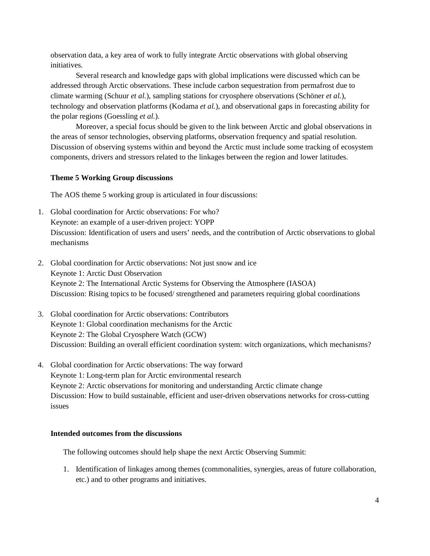observation data, a key area of work to fully integrate Arctic observations with global observing initiatives.

Several research and knowledge gaps with global implications were discussed which can be addressed through Arctic observations. These include carbon sequestration from permafrost due to climate warming (Schuur *et al.*), sampling stations for cryosphere observations (Schöner *et al.*), technology and observation platforms (Kodama *et al.*), and observational gaps in forecasting ability for the polar regions (Goessling *et al.*).

Moreover, a special focus should be given to the link between Arctic and global observations in the areas of sensor technologies, observing platforms, observation frequency and spatial resolution. Discussion of observing systems within and beyond the Arctic must include some tracking of ecosystem components, drivers and stressors related to the linkages between the region and lower latitudes.

# **Theme 5 Working Group discussions**

The AOS theme 5 working group is articulated in four discussions:

- 1. Global coordination for Arctic observations: For who? Keynote: an example of a user-driven project: YOPP Discussion: Identification of users and users' needs, and the contribution of Arctic observations to global mechanisms
- 2. Global coordination for Arctic observations: Not just snow and ice Keynote 1: Arctic Dust Observation Keynote 2: The International Arctic Systems for Observing the Atmosphere (IASOA) Discussion: Rising topics to be focused/ strengthened and parameters requiring global coordinations
- 3. Global coordination for Arctic observations: Contributors Keynote 1: Global coordination mechanisms for the Arctic Keynote 2: The Global Cryosphere Watch (GCW) Discussion: Building an overall efficient coordination system: witch organizations, which mechanisms?
- 4. Global coordination for Arctic observations: The way forward Keynote 1: Long-term plan for Arctic environmental research Keynote 2: Arctic observations for monitoring and understanding Arctic climate change Discussion: How to build sustainable, efficient and user-driven observations networks for cross-cutting issues

## **Intended outcomes from the discussions**

The following outcomes should help shape the next Arctic Observing Summit:

1. Identification of linkages among themes (commonalities, synergies, areas of future collaboration, etc.) and to other programs and initiatives.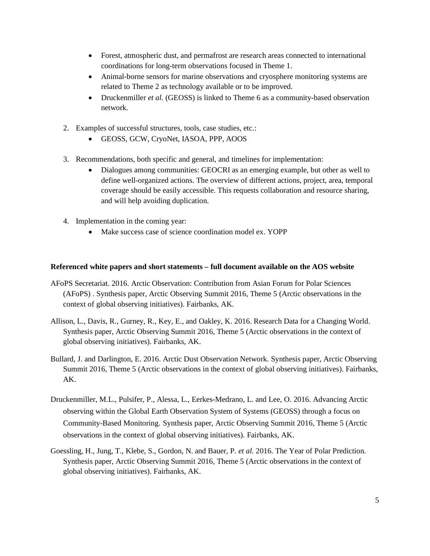- Forest, atmospheric dust, and permafrost are research areas connected to international coordinations for long-term observations focused in Theme 1.
- Animal-borne sensors for marine observations and cryosphere monitoring systems are related to Theme 2 as technology available or to be improved.
- Druckenmiller *et al.* (GEOSS) is linked to Theme 6 as a community-based observation network.
- 2. Examples of successful structures, tools, case studies, etc.:
	- GEOSS, GCW, CryoNet, IASOA, PPP, AOOS
- 3. Recommendations, both specific and general, and timelines for implementation:
	- Dialogues among communities: GEOCRI as an emerging example, but other as well to define well-organized actions. The overview of different actions, project, area, temporal coverage should be easily accessible. This requests collaboration and resource sharing, and will help avoiding duplication.
- 4. Implementation in the coming year:
	- Make success case of science coordination model ex. YOPP

## **Referenced white papers and short statements – full document available on the AOS website**

- AFoPS Secretariat. 2016. Arctic Observation: Contribution from Asian Forum for Polar Sciences (AFoPS) . Synthesis paper, Arctic Observing Summit 2016, Theme 5 (Arctic observations in the context of global observing initiatives). Fairbanks, AK.
- Allison, L., Davis, R., Gurney, R., Key, E., and Oakley, K. 2016. Research Data for a Changing World. Synthesis paper, Arctic Observing Summit 2016, Theme 5 (Arctic observations in the context of global observing initiatives). Fairbanks, AK.
- Bullard, J. and Darlington, E. 2016. Arctic Dust Observation Network. Synthesis paper, Arctic Observing Summit 2016, Theme 5 (Arctic observations in the context of global observing initiatives). Fairbanks, AK.
- Druckenmiller, M.L., Pulsifer, P., Alessa, L., Eerkes-Medrano, L. and Lee, O. 2016. Advancing Arctic observing within the Global Earth Observation System of Systems (GEOSS) through a focus on Community-Based Monitoring. Synthesis paper, Arctic Observing Summit 2016, Theme 5 (Arctic observations in the context of global observing initiatives). Fairbanks, AK.
- Goessling, H., Jung, T., Klebe, S., Gordon, N. and Bauer, P. *et al.* 2016. The Year of Polar Prediction. Synthesis paper, Arctic Observing Summit 2016, Theme 5 (Arctic observations in the context of global observing initiatives). Fairbanks, AK.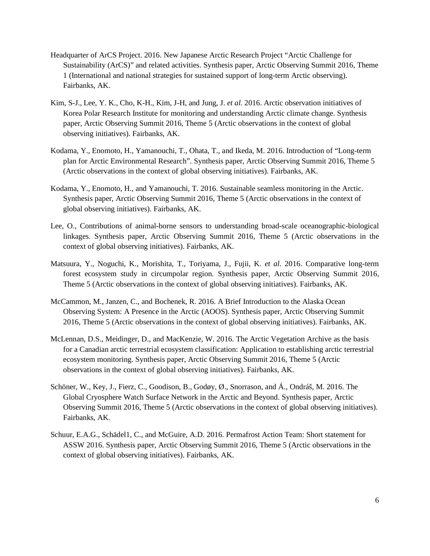- Headquarter of ArCS Project. 2016. New Japanese Arctic Research Project "Arctic Challenge for Sustainability (ArCS)" and related activities. Synthesis paper, Arctic Observing Summit 2016, Theme 1 (International and national strategies for sustained support of long-term Arctic observing). Fairbanks, AK.
- Kim, S-J., Lee, Y. K., Cho, K-H., Kim, J-H, and Jung, J. *et al.* 2016. Arctic observation initiatives of Korea Polar Research Institute for monitoring and understanding Arctic climate change. Synthesis paper, Arctic Observing Summit 2016, Theme 5 (Arctic observations in the context of global observing initiatives). Fairbanks, AK.
- Kodama, Y., Enomoto, H., Yamanouchi, T., Ohata, T., and Ikeda, M. 2016. Introduction of "Long-term plan for Arctic Environmental Research". Synthesis paper, Arctic Observing Summit 2016, Theme 5 (Arctic observations in the context of global observing initiatives). Fairbanks, AK.
- Kodama, Y., Enomoto, H., and Yamanouchi, T. 2016. Sustainable seamless monitoring in the Arctic. Synthesis paper, Arctic Observing Summit 2016, Theme 5 (Arctic observations in the context of global observing initiatives). Fairbanks, AK.
- Lee, O., Contributions of animal-borne sensors to understanding broad-scale oceanographic-biological linkages. Synthesis paper, Arctic Observing Summit 2016, Theme 5 (Arctic observations in the context of global observing initiatives). Fairbanks, AK.
- Matsuura, Y., Noguchi, K., Morishita, T., Toriyama, J., Fujii, K. *et al*. 2016. Comparative long-term forest ecosystem study in circumpolar region. Synthesis paper, Arctic Observing Summit 2016, Theme 5 (Arctic observations in the context of global observing initiatives). Fairbanks, AK.
- McCammon, M., Janzen, C., and Bochenek, R. 2016. A Brief Introduction to the Alaska Ocean Observing System: A Presence in the Arctic (AOOS). Synthesis paper, Arctic Observing Summit 2016, Theme 5 (Arctic observations in the context of global observing initiatives). Fairbanks, AK.
- McLennan, D.S., Meidinger, D., and MacKenzie, W. 2016. The Arctic Vegetation Archive as the basis for a Canadian arctic terrestrial ecosystem classification: Application to establishing arctic terrestrial ecosystem monitoring. Synthesis paper, Arctic Observing Summit 2016, Theme 5 (Arctic observations in the context of global observing initiatives). Fairbanks, AK.
- Schöner, W., Key, J., Fierz, C., Goodison, B., Godøy, Ø., Snorrason, and Á., Ondráš, M. 2016. The Global Cryosphere Watch Surface Network in the Arctic and Beyond. Synthesis paper, Arctic Observing Summit 2016, Theme 5 (Arctic observations in the context of global observing initiatives). Fairbanks, AK.
- Schuur, E.A.G., Schädel1, C., and McGuire, A.D. 2016. Permafrost Action Team: Short statement for ASSW 2016. Synthesis paper, Arctic Observing Summit 2016, Theme 5 (Arctic observations in the context of global observing initiatives). Fairbanks, AK.